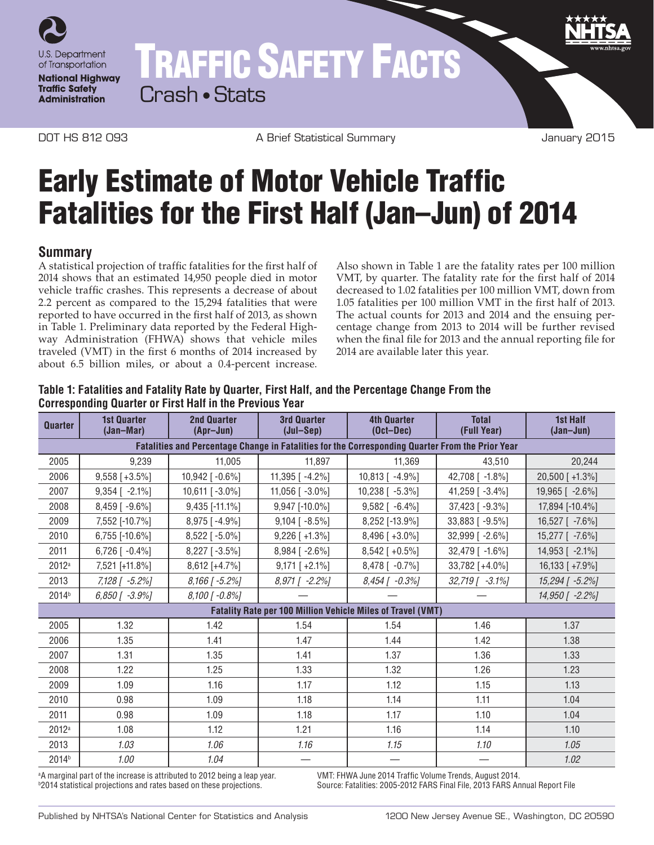

# TRAFFIC SAFETY FACTS

Crash • Stats

DOT HS 812 093 A Brief Statistical Summary January 2015

## Early Estimate of Motor Vehicle Traffic Fatalities for the First Half (Jan–Jun) of 2014

### **Summary**

A statistical projection of traffic fatalities for the first half of 2014 shows that an estimated 14,950 people died in motor vehicle traffic crashes. This represents a decrease of about 2.2 percent as compared to the 15,294 fatalities that were reported to have occurred in the first half of 2013, as shown in Table 1. Preliminary data reported by the Federal Highway Administration (FHWA) shows that vehicle miles traveled (VMT) in the first 6 months of 2014 increased by about 6.5 billion miles, or about a 0.4-percent increase.

Also shown in Table 1 are the fatality rates per 100 million VMT, by quarter. The fatality rate for the first half of 2014 decreased to 1.02 fatalities per 100 million VMT, down from 1.05 fatalities per 100 million VMT in the first half of 2013. The actual counts for 2013 and 2014 and the ensuing percentage change from 2013 to 2014 will be further revised when the final file for 2013 and the annual reporting file for 2014 are available later this year.

#### **Table 1: Fatalities and Fatality Rate by Quarter, First Half, and the Percentage Change From the Corresponding Quarter or First Half in the Previous Year**

| <b>Quarter</b>                                                                                   | <b>1st Quarter</b><br>(Jan-Mar) | <b>2nd Quarter</b><br>(Apr-Jun) | <b>3rd Quarter</b><br>$(Jul-Sep)$ | <b>4th Quarter</b><br>$(Oct-Dec)$ | <b>Total</b><br>(Full Year) | <b>1st Half</b><br>$(Jan-Jun)$ |
|--------------------------------------------------------------------------------------------------|---------------------------------|---------------------------------|-----------------------------------|-----------------------------------|-----------------------------|--------------------------------|
| Fatalities and Percentage Change in Fatalities for the Corresponding Quarter From the Prior Year |                                 |                                 |                                   |                                   |                             |                                |
| 2005                                                                                             | 9,239                           | 11,005                          | 11,897                            | 11,369                            | 43.510                      | 20,244                         |
| 2006                                                                                             | $9,558$ [+3.5%]                 | 10,942 [-0.6%]                  | 11,395 [ -4.2%]                   | 10,813 [ -4.9%]                   | 42,708 [ -1.8%]             | 20,500 [+1.3%]                 |
| 2007                                                                                             | $9,354$ [ -2.1%]                | 10,611 $[-3.0\%]$               | 11,056 $[-3.0\%]$                 | 10,238 [ -5.3%]                   | 41,259 [ -3.4%]             | 19,965 [ -2.6%]                |
| 2008                                                                                             | $8,459$ [ -9.6%]                | 9,435 [-11.1%]                  | 9,947 [-10.0%]                    | $9,582$ [ $-6.4\%$ ]              | 37,423 [ -9.3%]             | 17,894 [-10.4%]                |
| 2009                                                                                             | 7,552 [-10.7%]                  | $8,975$ [-4.9%]                 | $9,104$ [ -8.5%]                  | 8,252 [-13.9%]                    | 33,883 [-9.5%]              | 16,527 [ -7.6%]                |
| 2010                                                                                             | 6,755 [-10.6%]                  | $8,522$ [ -5.0%]                | $9,226$ [ +1.3%]                  | $8,496$ [ +3.0%]                  | 32,999 [ -2.6%]             | 15,277 [ -7.6%]                |
| 2011                                                                                             | $6,726$ [ -0.4%]                | $8,227$ [ -3.5%]                | 8,984 [ -2.6%]                    | $8,542$ [ +0.5%]                  | 32,479 [ -1.6%]             | 14,953 [ -2.1%]                |
| 2012a                                                                                            | 7,521 [+11.8%]                  | $8,612$ [+4.7%]                 | $9,171$ [ +2.1%]                  | 8,478 [ -0.7%]                    | 33,782 [+4.0%]              | 16,133 [ +7.9%]                |
| 2013                                                                                             | 7,128 [ -5.2%]                  | 8,166 [-5.2%]                   | 8,971 [ -2.2%]                    | 8,454 [ -0.3%]                    | $32,719$ [ $-3.1\%$ ]       | 15,294 [ -5.2%]                |
| 2014 <sup>b</sup>                                                                                | $6,850$ [ $-3.9%$ ]             | $8,100$ [ -0.8%]                |                                   |                                   |                             | 14,950 [ -2.2%]                |
| <b>Fatality Rate per 100 Million Vehicle Miles of Travel (VMT)</b>                               |                                 |                                 |                                   |                                   |                             |                                |
| 2005                                                                                             | 1.32                            | 1.42                            | 1.54                              | 1.54                              | 1.46                        | 1.37                           |
| 2006                                                                                             | 1.35                            | 1.41                            | 1.47                              | 1.44                              | 1.42                        | 1.38                           |
| 2007                                                                                             | 1.31                            | 1.35                            | 1.41                              | 1.37                              | 1.36                        | 1.33                           |
| 2008                                                                                             | 1.22                            | 1.25                            | 1.33                              | 1.32                              | 1.26                        | 1.23                           |
| 2009                                                                                             | 1.09                            | 1.16                            | 1.17                              | 1.12                              | 1.15                        | 1.13                           |
| 2010                                                                                             | 0.98                            | 1.09                            | 1.18                              | 1.14                              | 1.11                        | 1.04                           |
| 2011                                                                                             | 0.98                            | 1.09                            | 1.18                              | 1.17                              | 1.10                        | 1.04                           |
| 2012a                                                                                            | 1.08                            | 1.12                            | 1.21                              | 1.16                              | 1.14                        | 1.10                           |
| 2013                                                                                             | 1.03                            | 1.06                            | 1.16                              | 1.15                              | 1.10                        | 1.05                           |
| 2014 <sup>b</sup>                                                                                | 1.00                            | 1.04                            |                                   |                                   |                             | 1.02                           |

a A marginal part of the increase is attributed to 2012 being a leap year. VMT: FHWA June 2014 Traffic Volume Trends, August 2014. b<sub>2014</sub> statistical projections and rates based on these projections.

Source: Fatalities: 2005-2012 FARS Final File, 2013 FARS Annual Report File